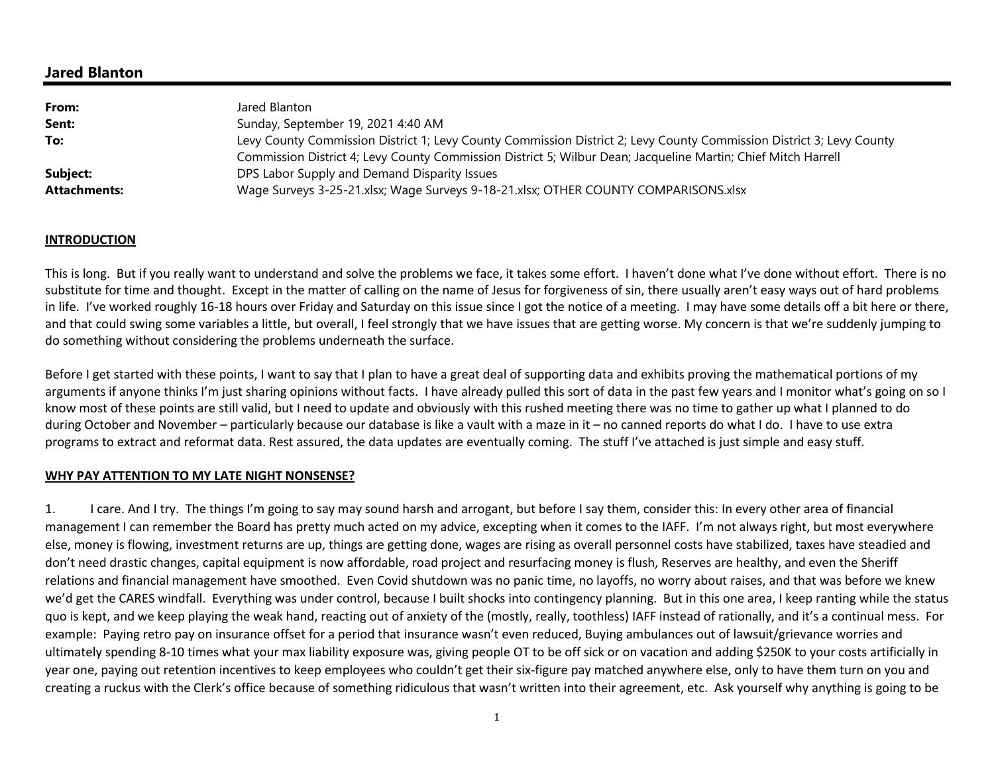## **Jared Blanton**

| Jared Blanton                                                                                                        |
|----------------------------------------------------------------------------------------------------------------------|
| Sunday, September 19, 2021 4:40 AM                                                                                   |
| Levy County Commission District 1; Levy County Commission District 2; Levy County Commission District 3; Levy County |
| Commission District 4; Levy County Commission District 5; Wilbur Dean; Jacqueline Martin; Chief Mitch Harrell        |
| DPS Labor Supply and Demand Disparity Issues                                                                         |
| Wage Surveys 3-25-21.xlsx; Wage Surveys 9-18-21.xlsx; OTHER COUNTY COMPARISONS.xlsx                                  |
|                                                                                                                      |

#### **INTRODUCTION**

This is long. But if you really want to understand and solve the problems we face, it takes some effort. I haven't done what I've done without effort. There is no substitute for time and thought. Except in the matter of calling on the name of Jesus for forgiveness of sin, there usually aren't easy ways out of hard problems in life. I've worked roughly 16-18 hours over Friday and Saturday on this issue since I got the notice of a meeting. I may have some details off a bit here or there, and that could swing some variables a little, but overall, I feel strongly that we have issues that are getting worse. My concern is that we're suddenly jumping to do something without considering the problems underneath the surface.

Before I get started with these points, I want to say that I plan to have a great deal of supporting data and exhibits proving the mathematical portions of mv arguments if anyone thinks I'm just sharing opinions without facts. I have already pulled this sort of data in the past few years and I monitor what's going on so I know most of these points are still valid, but I need to update and obviously with this rushed meeting there was no time to gather up what I planned to do during October and November – particularly because our database is like a vault with a maze in it – no canned reports do what I do. I have to use extra programs to extract and reformat data. Rest assured, the data updates are eventually coming. The stuff I've attached is just simple and easy stuff.

#### **WHY PAY ATTENTION TO MY LATE NIGHT NONSENSE?**

1. I care. And I try. The things I'm going to say may sound harsh and arrogant, but before I say them, consider this: In every other area of financial management I can remember the Board has pretty much acted on my advice, excepting when it comes to the IAFF. I'm not always right, but most everywhere else, money is flowing, investment returns are up, things are getting done, wages are rising as overall personnel costs have stabilized, taxes have steadied and don't need drastic changes, capital equipment is now affordable, road project and resurfacing money is flush, Reserves are healthy, and even the Sheriff relations and financial management have smoothed. Even Covid shutdown was no panic time, no layoffs, no worry about raises, and that was before we knew we'd get the CARES windfall. Everything was under control, because I built shocks into contingency planning. But in this one area, I keep ranting while the status quo is kept, and we keep playing the weak hand, reacting out of anxiety of the (mostly, really, toothless) IAFF instead of rationally, and it's a continual mess. For example: Paying retro pay on insurance offset for a period that insurance wasn't even reduced, Buying ambulances out of lawsuit/grievance worries and ultimately spending 8-10 times what your max liability exposure was, giving people OT to be off sick or on vacation and adding \$250K to your costs artificially in year one, paying out retention incentives to keep employees who couldn't get their six-figure pay matched anywhere else, only to have them turn on you and creating a ruckus with the Clerk's office because of something ridiculous that wasn't written into their agreement, etc. Ask yourself why anything is going to be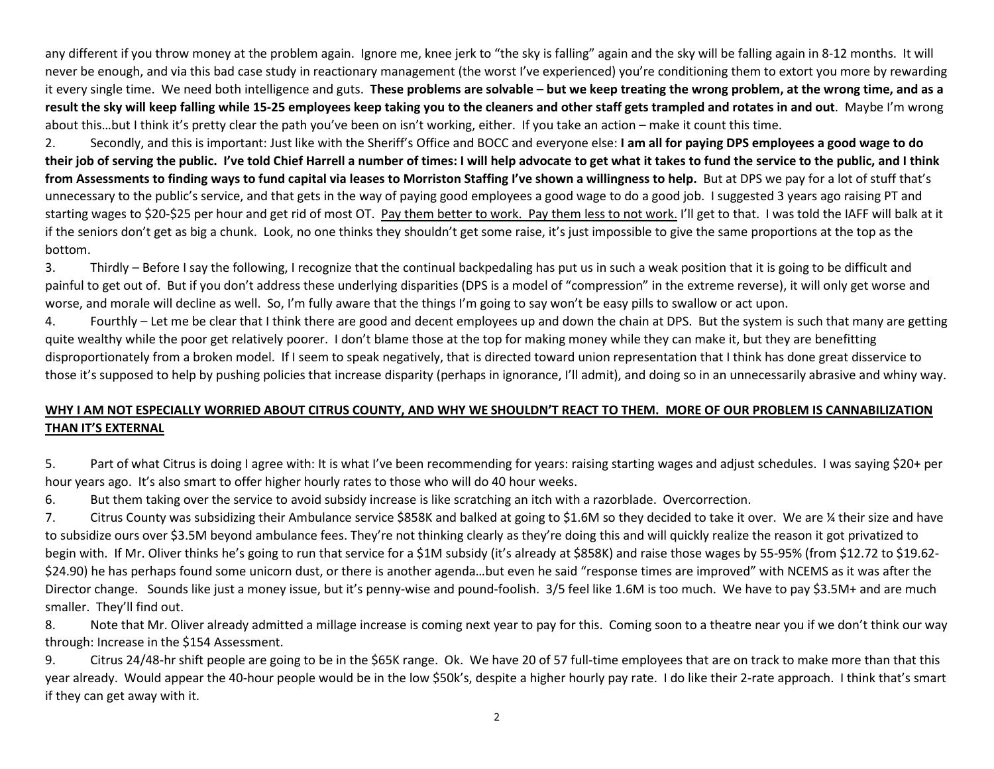any different if you throw money at the problem again. Ignore me, knee jerk to "the sky is falling" again and the sky will be falling again in 8-12 months. It will never be enough, and via this bad case study in reactionary management (the worst I've experienced) you're conditioning them to extort you more by rewarding it every single time. We need both intelligence and guts. **These problems are solvable – but we keep treating the wrong problem, at the wrong time, and as a result the sky will keep falling while 15-25 employees keep taking you to the cleaners and other staff gets trampled and rotates in and out**. Maybe I'm wrong about this…but I think it's pretty clear the path you've been on isn't working, either. If you take an action – make it count this time.

2. Secondly, and this is important: Just like with the Sheriff's Office and BOCC and everyone else: **I am all for paying DPS employees a good wage to do their job of serving the public. I've told Chief Harrell a number of times: I will help advocate to get what it takes to fund the service to the public, and I think** from Assessments to finding ways to fund capital via leases to Morriston Staffing I've shown a willingness to help. But at DPS we pay for a lot of stuff that's unnecessary to the public's service, and that gets in the way of paying good employees a good wage to do a good job. I suggested 3 years ago raising PT and starting wages to \$20-\$25 per hour and get rid of most OT. Pay them better to work. Pay them less to not work. I'll get to that. I was told the IAFF will balk at it if the seniors don't get as big a chunk. Look, no one thinks they shouldn't get some raise, it's just impossible to give the same proportions at the top as the bottom.

3. Thirdly – Before I say the following, I recognize that the continual backpedaling has put us in such a weak position that it is going to be difficult and painful to get out of. But if you don't address these underlying disparities (DPS is a model of "compression" in the extreme reverse), it will only get worse and worse, and morale will decline as well. So, I'm fully aware that the things I'm going to say won't be easy pills to swallow or act upon.

4. Fourthly – Let me be clear that I think there are good and decent employees up and down the chain at DPS. But the system is such that many are getting quite wealthy while the poor get relatively poorer. I don't blame those at the top for making money while they can make it, but they are benefitting disproportionately from a broken model. If I seem to speak negatively, that is directed toward union representation that I think has done great disservice to those it's supposed to help by pushing policies that increase disparity (perhaps in ignorance, I'll admit), and doing so in an unnecessarily abrasive and whiny way.

# **WHY I AM NOT ESPECIALLY WORRIED ABOUT CITRUS COUNTY, AND WHY WE SHOULDN'T REACT TO THEM. MORE OF OUR PROBLEM IS CANNABILIZATION THAN IT'S EXTERNAL**

5.Part of what Citrus is doing I agree with: It is what I've been recommending for years: raising starting wages and adjust schedules. I was saying \$20+ per hour years ago. It's also smart to offer higher hourly rates to those who will do 40 hour weeks.

6.But them taking over the service to avoid subsidy increase is like scratching an itch with a razorblade. Overcorrection.

7. Citrus County was subsidizing their Ambulance service \$858K and balked at going to \$1.6M so they decided to take it over. We are ¼ their size and have to subsidize ours over \$3.5M beyond ambulance fees. They're not thinking clearly as they're doing this and will quickly realize the reason it got privatized to begin with. If Mr. Oliver thinks he's going to run that service for a \$1M subsidy (it's already at \$858K) and raise those wages by 55-95% (from \$12.72 to \$19.62-\$24.90) he has perhaps found some unicorn dust, or there is another agenda...but even he said "response times are improved" with NCEMS as it was after the Director change. Sounds like just a money issue, but it's penny-wise and pound-foolish. 3/5 feel like 1.6M is too much. We have to pay \$3.5M+ and are much smaller. They'll find out.

8. Note that Mr. Oliver already admitted a millage increase is coming next year to pay for this. Coming soon to a theatre near you if we don't think our way through: Increase in the \$154 Assessment.

9. Citrus 24/48-hr shift people are going to be in the \$65K range. Ok. We have 20 of 57 full-time employees that are on track to make more than that this year already. Would appear the 40-hour people would be in the low \$50k's, despite a higher hourly pay rate. I do like their 2-rate approach. I think that's smart if they can get away with it.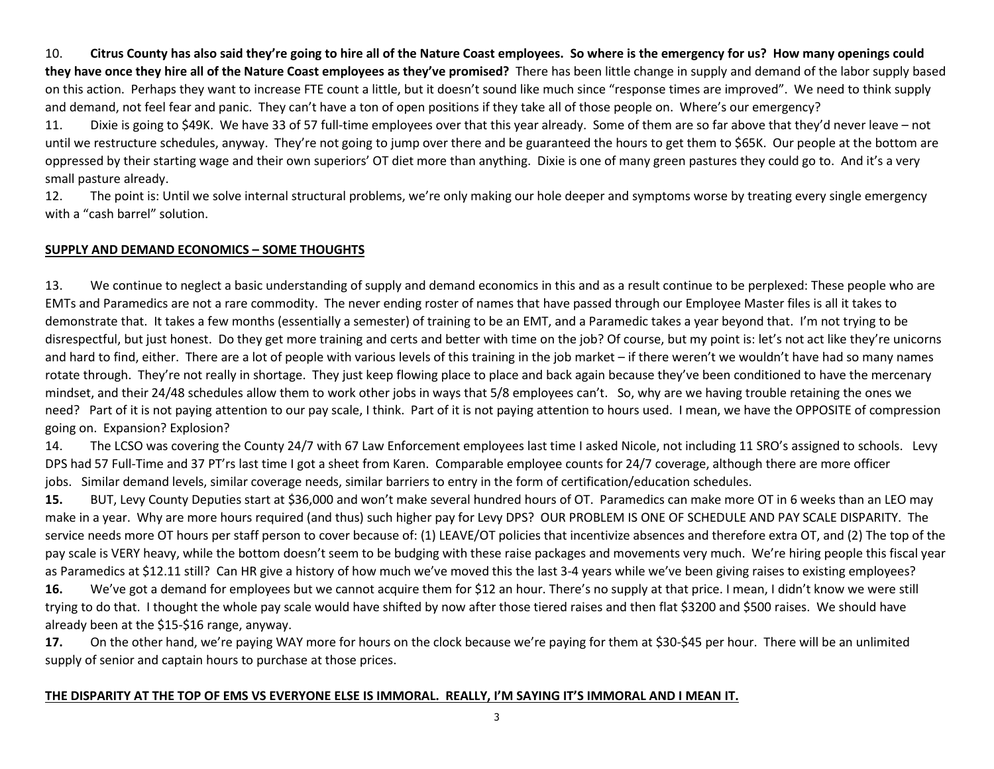10. **Citrus County has also said they're going to hire all of the Nature Coast employees. So where is the emergency for us? How many openings could they have once they hire all of the Nature Coast employees as they've promised?** There has been little change in supply and demand of the labor supply based on this action. Perhaps they want to increase FTE count a little, but it doesn't sound like much since "response times are improved". We need to think supply and demand, not feel fear and panic. They can't have a ton of open positions if they take all of those people on. Where's our emergency?

11. Dixie is going to \$49K. We have 33 of 57 full-time employees over that this year already. Some of them are so far above that they'd never leave – not until we restructure schedules, anyway. They're not going to jump over there and be guaranteed the hours to get them to \$65K. Our people at the bottom are oppressed by their starting wage and their own superiors' OT diet more than anything. Dixie is one of many green pastures they could go to. And it's a very small pasture already.

12. The point is: Until we solve internal structural problems, we're only making our hole deeper and symptoms worse by treating every single emergency with a "cash barrel" solution.

### **SUPPLY AND DEMAND ECONOMICS – SOME THOUGHTS**

13.We continue to neglect a basic understanding of supply and demand economics in this and as a result continue to be perplexed: These people who are EMTs and Paramedics are not a rare commodity. The never ending roster of names that have passed through our Employee Master files is all it takes to demonstrate that. It takes a few months (essentially a semester) of training to be an EMT, and a Paramedic takes a year beyond that. I'm not trying to be disrespectful, but just honest. Do they get more training and certs and better with time on the job? Of course, but my point is: let's not act like they're unicorns and hard to find, either. There are a lot of people with various levels of this training in the job market – if there weren't we wouldn't have had so many names rotate through. They're not really in shortage. They just keep flowing place to place and back again because they've been conditioned to have the mercenary mindset, and their 24/48 schedules allow them to work other jobs in ways that 5/8 employees can't. So, why are we having trouble retaining the ones we need? Part of it is not paying attention to our pay scale, I think. Part of it is not paying attention to hours used. I mean, we have the OPPOSITE of compression going on. Expansion? Explosion?

14. The LCSO was covering the County 24/7 with 67 Law Enforcement employees last time I asked Nicole, not including 11 SRO's assigned to schools. Levy DPS had 57 Full-Time and 37 PT'rs last time I got a sheet from Karen. Comparable employee counts for 24/7 coverage, although there are more officer jobs. Similar demand levels, similar coverage needs, similar barriers to entry in the form of certification/education schedules.

**15.** BUT, Levy County Deputies start at \$36,000 and won't make several hundred hours of OT. Paramedics can make more OT in 6 weeks than an LEO may make in a year. Why are more hours required (and thus) such higher pay for Levy DPS? OUR PROBLEM IS ONE OF SCHEDULE AND PAY SCALE DISPARITY. The service needs more OT hours per staff person to cover because of: (1) LEAVE/OT policies that incentivize absences and therefore extra OT, and (2) The top of the pay scale is VERY heavy, while the bottom doesn't seem to be budging with these raise packages and movements very much. We're hiring people this fiscal year as Paramedics at \$12.11 still? Can HR give a history of how much we've moved this the last 3-4 years while we've been giving raises to existing employees? **16.** We've got a demand for employees but we cannot acquire them for \$12 an hour. There's no supply at that price. I mean, I didn't know we were still trying to do that. I thought the whole pay scale would have shifted by now after those tiered raises and then flat \$3200 and \$500 raises. We should have

already been at the \$15-\$16 range, anyway.

**17.** On the other hand, we're paying WAY more for hours on the clock because we're paying for them at \$30-\$45 per hour. There will be an unlimited supply of senior and captain hours to purchase at those prices.

#### **THE DISPARITY AT THE TOP OF EMS VS EVERYONE ELSE IS IMMORAL. REALLY, I'M SAYING IT'S IMMORAL AND I MEAN IT.**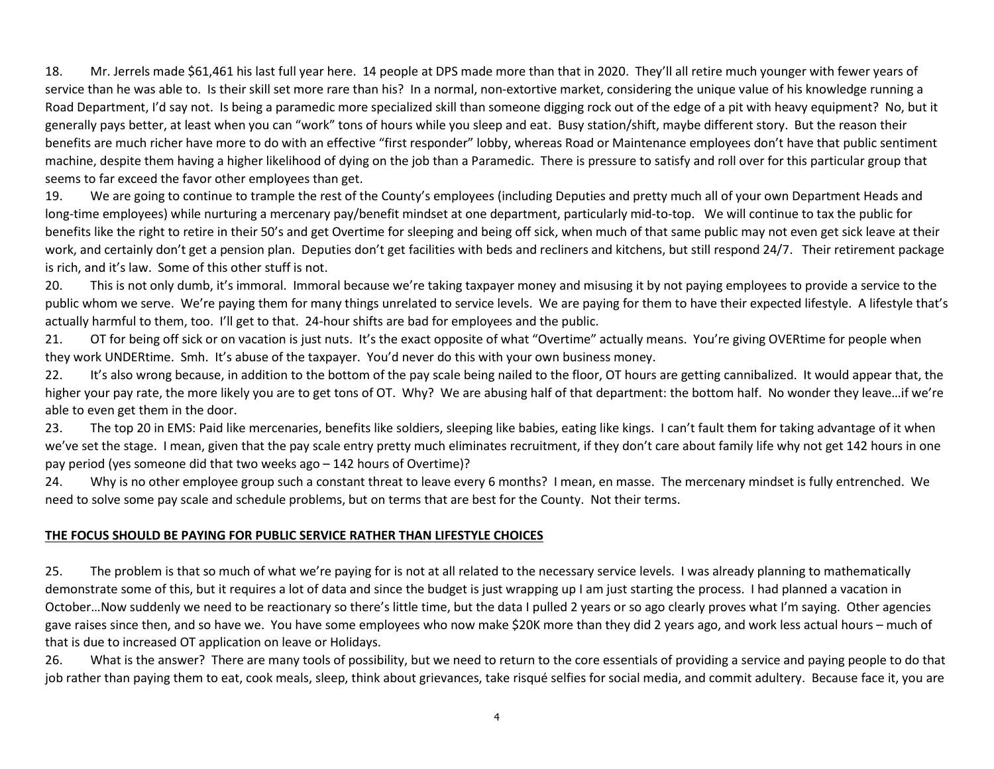18. Mr. Jerrels made \$61,461 his last full year here. 14 people at DPS made more than that in 2020. They'll all retire much younger with fewer years of service than he was able to. Is their skill set more rare than his? In a normal, non-extortive market, considering the unique value of his knowledge running a Road Department, I'd say not. Is being a paramedic more specialized skill than someone digging rock out of the edge of a pit with heavy equipment? No, but it generally pays better, at least when you can "work" tons of hours while you sleep and eat. Busy station/shift, maybe different story. But the reason their benefits are much richer have more to do with an effective "first responder" lobby, whereas Road or Maintenance employees don't have that public sentiment machine, despite them having a higher likelihood of dying on the job than a Paramedic. There is pressure to satisfy and roll over for this particular group that seems to far exceed the favor other employees than get.

19.We are going to continue to trample the rest of the County's employees (including Deputies and pretty much all of your own Department Heads and long-time employees) while nurturing a mercenary pay/benefit mindset at one department, particularly mid-to-top. We will continue to tax the public forbenefits like the right to retire in their 50's and get Overtime for sleeping and being off sick, when much of that same public may not even get sick leave at their work, and certainly don't get a pension plan. Deputies don't get facilities with beds and recliners and kitchens, but still respond 24/7. Their retirement package is rich, and it's law. Some of this other stuff is not.

20. This is not only dumb, it's immoral. Immoral because we're taking taxpayer money and misusing it by not paying employees to provide a service to the public whom we serve. We're paying them for many things unrelated to service levels. We are paying for them to have their expected lifestyle. A lifestyle that's actually harmful to them, too. I'll get to that. 24-hour shifts are bad for employees and the public.

21. OT for being off sick or on vacation is just nuts. It's the exact opposite of what "Overtime" actually means. You're giving OVERtime for people when they work UNDERtime. Smh. It's abuse of the taxpayer. You'd never do this with your own business money.

22. It's also wrong because, in addition to the bottom of the pay scale being nailed to the floor, OT hours are getting cannibalized. It would appear that, the higher your pay rate, the more likely you are to get tons of OT. Why? We are abusing half of that department: the bottom half. No wonder they leave... if we're able to even get them in the door.

23. The top 20 in EMS: Paid like mercenaries, benefits like soldiers, sleeping like babies, eating like kings. I can't fault them for taking advantage of it when we've set the stage. I mean, given that the pay scale entry pretty much eliminates recruitment, if they don't care about family life why not get 142 hours in one pay period (yes someone did that two weeks ago – 142 hours of Overtime)?

24.Why is no other employee group such a constant threat to leave every 6 months? I mean, en masse. The mercenary mindset is fully entrenched. We need to solve some pay scale and schedule problems, but on terms that are best for the County. Not their terms.

#### **THE FOCUS SHOULD BE PAYING FOR PUBLIC SERVICE RATHER THAN LIFESTYLE CHOICES**

25. The problem is that so much of what we're paying for is not at all related to the necessary service levels. I was already planning to mathematically demonstrate some of this, but it requires a lot of data and since the budget is just wrapping up I am just starting the process. I had planned a vacation in October…Now suddenly we need to be reactionary so there's little time, but the data I pulled 2 years or so ago clearly proves what I'm saying. Other agencies gave raises since then, and so have we. You have some employees who now make \$20K more than they did 2 years ago, and work less actual hours – much of that is due to increased OT application on leave or Holidays.

26.What is the answer? There are many tools of possibility, but we need to return to the core essentials of providing a service and paying people to do that job rather than paying them to eat, cook meals, sleep, think about grievances, take risqué selfies for social media, and commit adultery. Because face it, you are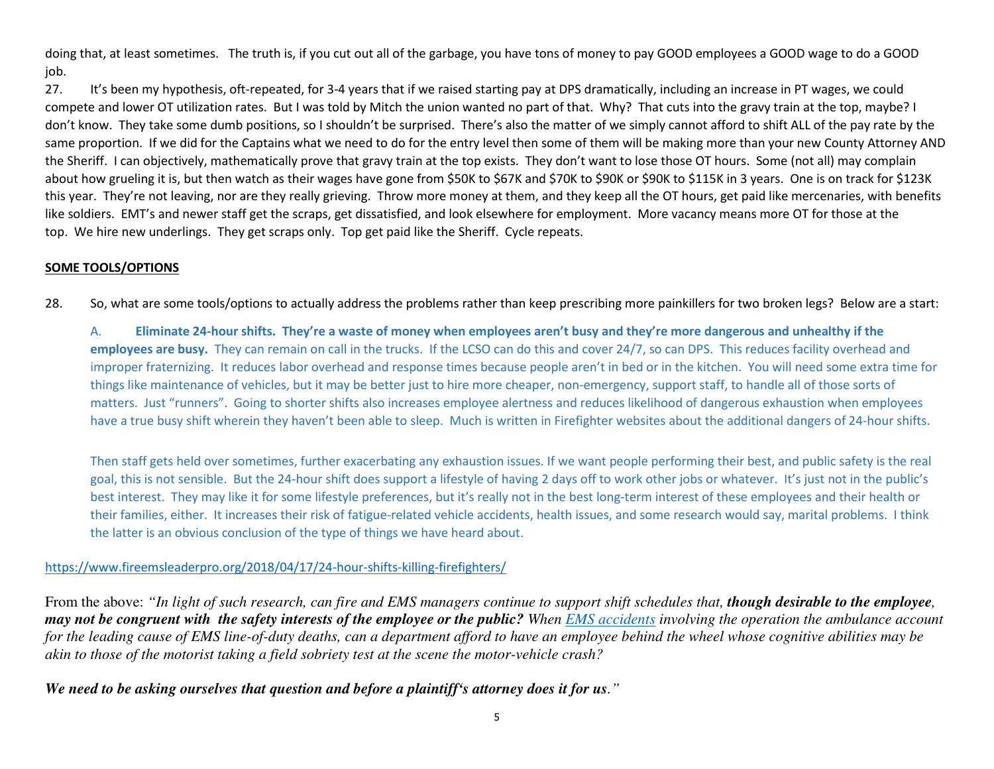doing that, at least sometimes. The truth is, if you cut out all of the garbage, you have tons of money to pay GOOD employees a GOOD wage to do a GOOD job.

27. It's been my hypothesis, oft-repeated, for 3-4 years that if we raised starting pay at DPS dramatically, including an increase in PT wages, we could compete and lower OT utilization rates. But I was told by Mitch the union wanted no part of that. Why? That cuts into the gravy train at the top, maybe? I don't know. They take some dumb positions, so I shouldn't be surprised. There's also the matter of we simply cannot afford to shift ALL of the pay rate by the same proportion. If we did for the Captains what we need to do for the entry level then some of them will be making more than your new County Attorney AND the Sheriff. I can objectively, mathematically prove that gravy train at the top exists. They don't want to lose those OT hours. Some (not all) may complain about how grueling it is, but then watch as their wages have gone from \$50K to \$67K and \$70K to \$90K or \$90K to \$115K in 3 years. One is on track for \$123K this year. They're not leaving, nor are they really grieving. Throw more money at them, and they keep all the OT hours, get paid like mercenaries, with benefits like soldiers. EMT's and newer staff get the scraps, get dissatisfied, and look elsewhere for employment. More vacancy means more OT for those at the top. We hire new underlings. They get scraps only. Top get paid like the Sheriff. Cycle repeats.

### **SOME TOOLS/OPTIONS**

28.So, what are some tools/options to actually address the problems rather than keep prescribing more painkillers for two broken legs? Below are a start:

A. **Eliminate 24-hour shifts. They're a waste of money when employees aren't busy and they're more dangerous and unhealthy if the employees are busy.** They can remain on call in the trucks. If the LCSO can do this and cover 24/7, so can DPS. This reduces facility overhead and improper fraternizing. It reduces labor overhead and response times because people aren't in bed or in the kitchen. You will need some extra time for things like maintenance of vehicles, but it may be better just to hire more cheaper, non-emergency, support staff, to handle all of those sorts of matters. Just "runners". Going to shorter shifts also increases employee alertness and reduces likelihood of dangerous exhaustion when employees have a true busy shift wherein they haven't been able to sleep. Much is written in Firefighter websites about the additional dangers of 24-hour shifts.

Then staff gets held over sometimes, further exacerbating any exhaustion issues. If we want people performing their best, and public safety is the real goal, this is not sensible. But the 24-hour shift does support a lifestyle of having 2 days off to work other jobs or whatever. It's just not in the public's best interest. They may like it for some lifestyle preferences, but it's really not in the best long-term interest of these employees and their health or their families, either. It increases their risk of fatigue-related vehicle accidents, health issues, and some research would say, marital problems. I think the latter is an obvious conclusion of the type of things we have heard about.

#### https://www.fireemsleaderpro.org/2018/04/17/24-hour-shifts-killing-firefighters/

From the above: "In light of such research, can fire and EMS managers continue to support shift schedules that, **though desirable to the employee**, *may not be congruent with the safety interests of the employee or the public? When EMS accidents involving the operation the ambulance account for the leading cause of EMS line-of-duty deaths, can a department afford to have an employee behind the wheel whose cognitive abilities may be akin to those of the motorist taking a field sobriety test at the scene the motor-vehicle crash?* 

*We need to be asking ourselves that question and before a plaintiff's attorney does it for us."*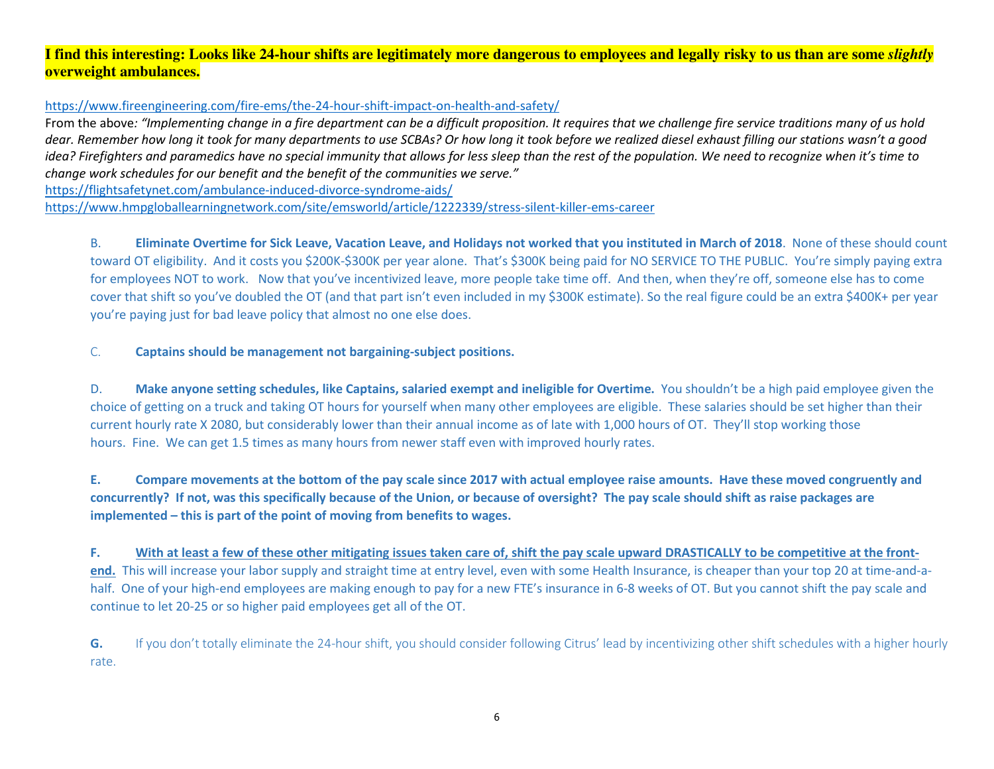## **I find this interesting: Looks like 24-hour shifts are legitimately more dangerous to employees and legally risky to us than are some** *slightly***overweight ambulances.**

### https://www.fireengineering.com/fire-ems/the-24-hour-shift-impact-on-health-and-safety/

 From the above*: "Implementing change in a fire department can be a difficult proposition. It requires that we challenge fire service traditions many of us hold dear. Remember how long it took for many departments to use SCBAs? Or how long it took before we realized diesel exhaust filling our stations wasn't a good idea? Firefighters and paramedics have no special immunity that allows for less sleep than the rest of the population. We need to recognize when it's time to change work schedules for our benefit and the benefit of the communities we serve."* 

https://flightsafetynet.com/ambulance-induced-divorce-syndrome-aids/

https://www.hmpgloballearningnetwork.com/site/emsworld/article/1222339/stress-silent-killer-ems-career

B. **Eliminate Overtime for Sick Leave, Vacation Leave, and Holidays not worked that you instituted in March of 2018**. None of these should count toward OT eligibility. And it costs you \$200K-\$300K per year alone. That's \$300K being paid for NO SERVICE TO THE PUBLIC. You're simply paying extra for employees NOT to work. Now that you've incentivized leave, more people take time off. And then, when they're off, someone else has to come cover that shift so you've doubled the OT (and that part isn't even included in my \$300K estimate). So the real figure could be an extra \$400K+ per year you're paying just for bad leave policy that almost no one else does.

C.**Captains should be management not bargaining-subject positions.**

D. **Make anyone setting schedules, like Captains, salaried exempt and ineligible for Overtime.** You shouldn't be a high paid employee given the choice of getting on a truck and taking OT hours for yourself when many other employees are eligible. These salaries should be set higher than their current hourly rate X 2080, but considerably lower than their annual income as of late with 1,000 hours of OT. They'll stop working those hours. Fine. We can get 1.5 times as many hours from newer staff even with improved hourly rates.

**E. Compare movements at the bottom of the pay scale since 2017 with actual employee raise amounts. Have these moved congruently and concurrently? If not, was this specifically because of the Union, or because of oversight? The pay scale should shift as raise packages are implemented – this is part of the point of moving from benefits to wages.** 

**F. With at least a few of these other mitigating issues taken care of, shift the pay scale upward DRASTICALLY to be competitive at the frontend.** This will increase your labor supply and straight time at entry level, even with some Health Insurance, is cheaper than your top 20 at time-and-ahalf. One of your high-end employees are making enough to pay for a new FTE's insurance in 6-8 weeks of OT. But you cannot shift the pay scale and continue to let 20-25 or so higher paid employees get all of the OT.

**G.** If you don't totally eliminate the 24-hour shift, you should consider following Citrus' lead by incentivizing other shift schedules with a higher hourly rate.